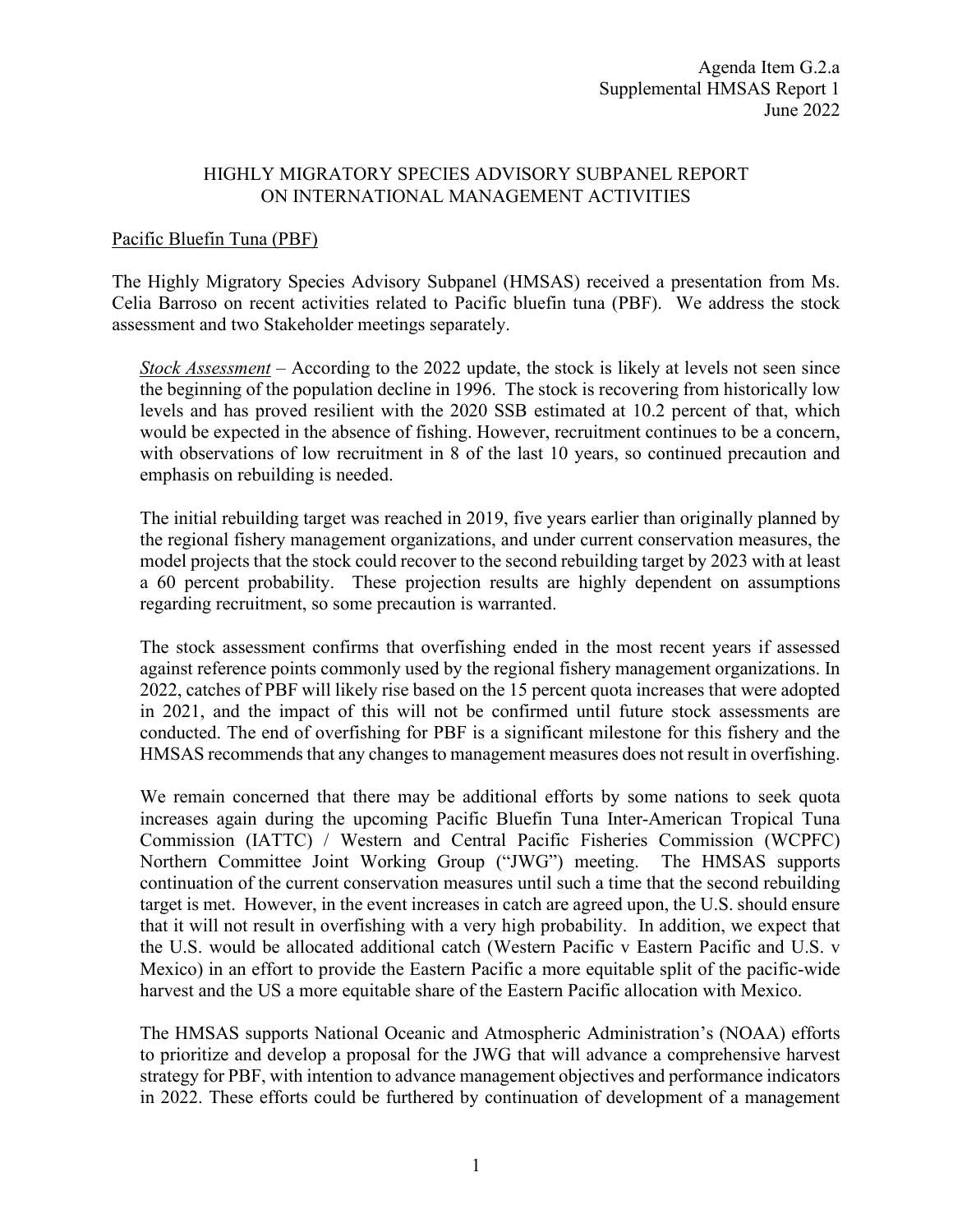### HIGHLY MIGRATORY SPECIES ADVISORY SUBPANEL REPORT ON INTERNATIONAL MANAGEMENT ACTIVITIES

### Pacific Bluefin Tuna (PBF)

The Highly Migratory Species Advisory Subpanel (HMSAS) received a presentation from Ms. Celia Barroso on recent activities related to Pacific bluefin tuna (PBF). We address the stock assessment and two Stakeholder meetings separately.

*Stock Assessment* – According to the 2022 update, the stock is likely at levels not seen since the beginning of the population decline in 1996. The stock is recovering from historically low levels and has proved resilient with the 2020 SSB estimated at 10.2 percent of that, which would be expected in the absence of fishing. However, recruitment continues to be a concern, with observations of low recruitment in 8 of the last 10 years, so continued precaution and emphasis on rebuilding is needed.

The initial rebuilding target was reached in 2019, five years earlier than originally planned by the regional fishery management organizations, and under current conservation measures, the model projects that the stock could recover to the second rebuilding target by 2023 with at least a 60 percent probability. These projection results are highly dependent on assumptions regarding recruitment, so some precaution is warranted.

The stock assessment confirms that overfishing ended in the most recent years if assessed against reference points commonly used by the regional fishery management organizations. In 2022, catches of PBF will likely rise based on the 15 percent quota increases that were adopted in 2021, and the impact of this will not be confirmed until future stock assessments are conducted. The end of overfishing for PBF is a significant milestone for this fishery and the HMSAS recommends that any changes to management measures does not result in overfishing.

We remain concerned that there may be additional efforts by some nations to seek quota increases again during the upcoming Pacific Bluefin Tuna Inter-American Tropical Tuna Commission (IATTC) / Western and Central Pacific Fisheries Commission (WCPFC) Northern Committee Joint Working Group ("JWG") meeting. The HMSAS supports continuation of the current conservation measures until such a time that the second rebuilding target is met. However, in the event increases in catch are agreed upon, the U.S. should ensure that it will not result in overfishing with a very high probability. In addition, we expect that the U.S. would be allocated additional catch (Western Pacific v Eastern Pacific and U.S. v Mexico) in an effort to provide the Eastern Pacific a more equitable split of the pacific-wide harvest and the US a more equitable share of the Eastern Pacific allocation with Mexico.

The HMSAS supports National Oceanic and Atmospheric Administration's (NOAA) efforts to prioritize and develop a proposal for the JWG that will advance a comprehensive harvest strategy for PBF, with intention to advance management objectives and performance indicators in 2022. These efforts could be furthered by continuation of development of a management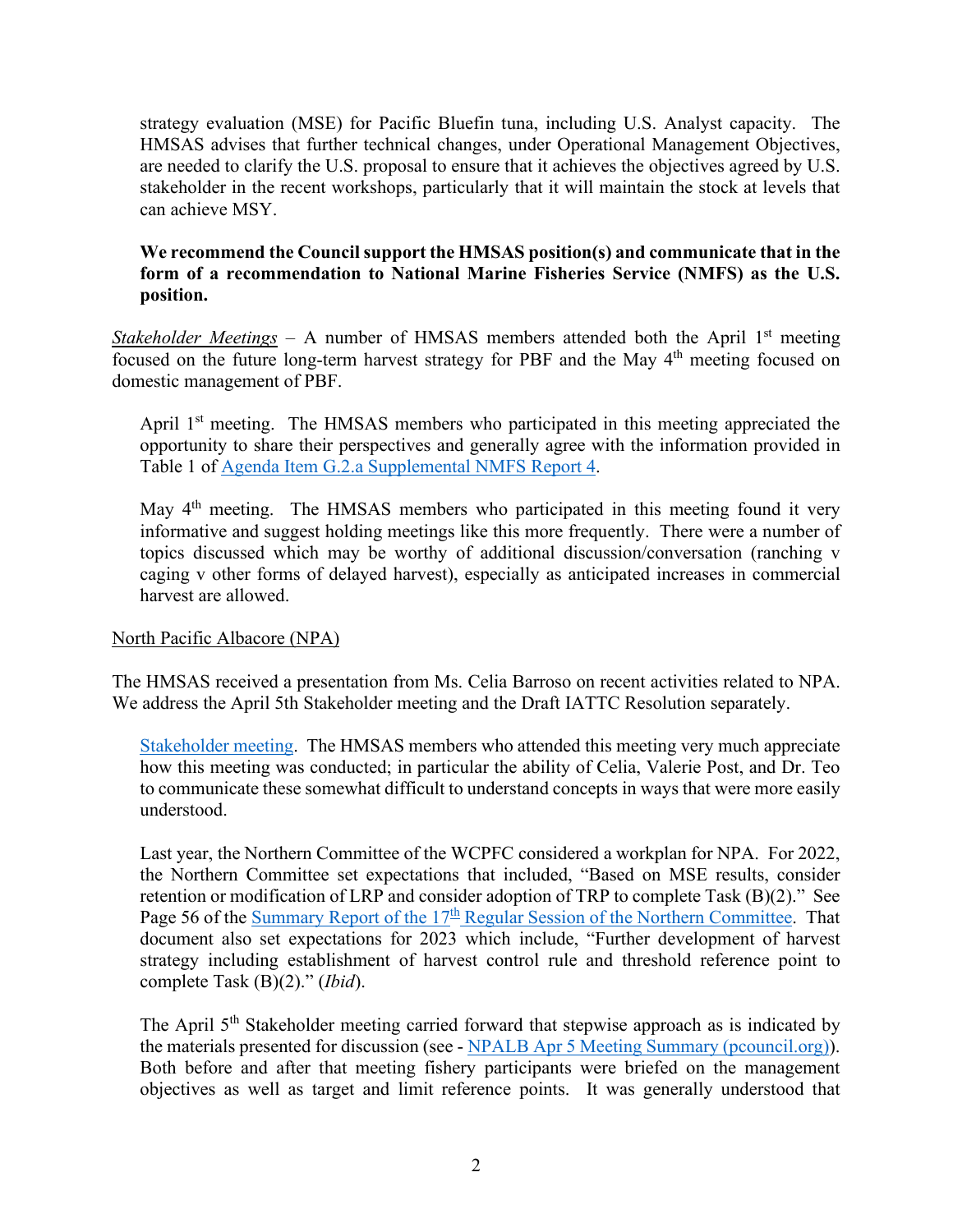strategy evaluation (MSE) for Pacific Bluefin tuna, including U.S. Analyst capacity. The HMSAS advises that further technical changes, under Operational Management Objectives, are needed to clarify the U.S. proposal to ensure that it achieves the objectives agreed by U.S. stakeholder in the recent workshops, particularly that it will maintain the stock at levels that can achieve MSY.

# **We recommend the Council support the HMSAS position(s) and communicate that in the form of a recommendation to National Marine Fisheries Service (NMFS) as the U.S. position.**

*Stakeholder Meetings* – A number of HMSAS members attended both the April  $1<sup>st</sup>$  meeting focused on the future long-term harvest strategy for PBF and the May  $4<sup>th</sup>$  meeting focused on domestic management of PBF.

April  $1<sup>st</sup>$  meeting. The HMSAS members who participated in this meeting appreciated the opportunity to share their perspectives and generally agree with the information provided in Table 1 of [Agenda Item G.2.a Supplemental NMFS Report 4.](https://www.pcouncil.org/documents/2022/06/g-2-a-supplemental-nmfs-report-4-summary-of-stakeholder-meetings-on-the-international-long-term-harvest-strategy-for-pacific-bluefin-tuna.pdf/)

May 4<sup>th</sup> meeting. The HMSAS members who participated in this meeting found it very informative and suggest holding meetings like this more frequently. There were a number of topics discussed which may be worthy of additional discussion/conversation (ranching v caging v other forms of delayed harvest), especially as anticipated increases in commercial harvest are allowed.

# North Pacific Albacore (NPA)

The HMSAS received a presentation from Ms. Celia Barroso on recent activities related to NPA. We address the April 5th Stakeholder meeting and the Draft IATTC Resolution separately.

[Stakeholder meeting.](https://www.pcouncil.org/documents/2022/06/g-2-a-supplemental-nmfs-report-2-electronic-only-summary-of-north-pacific-albacore-harvest-strategy-meeting-april-5-2022-virtual.pdf/) The HMSAS members who attended this meeting very much appreciate how this meeting was conducted; in particular the ability of Celia, Valerie Post, and Dr. Teo to communicate these somewhat difficult to understand concepts in ways that were more easily understood.

Last year, the Northern Committee of the WCPFC considered a workplan for NPA. For 2022, the Northern Committee set expectations that included, "Based on MSE results, consider retention or modification of LRP and consider adoption of TRP to complete Task (B)(2)." See Page 56 of the Summary Report of the  $17<sup>th</sup>$  [Regular Session of the Northern Committee.](https://www.pcouncil.org/documents/2021/10/h-2-attachment-1-summary-report-of-the-seventeenth-regular-session-of-the-western-and-central-pacific-fisheries-commission-northern-committee-electronic-only.pdf/) That document also set expectations for 2023 which include, "Further development of harvest strategy including establishment of harvest control rule and threshold reference point to complete Task (B)(2)." (*Ibid*).

The April 5<sup>th</sup> Stakeholder meeting carried forward that stepwise approach as is indicated by the materials presented for discussion (see - [NPALB Apr 5 Meeting Summary \(pcouncil.org\)\)](https://www.pcouncil.org/documents/2022/06/g-2-a-supplemental-nmfs-report-2-electronic-only-summary-of-north-pacific-albacore-harvest-strategy-meeting-april-5-2022-virtual.pdf/). Both before and after that meeting fishery participants were briefed on the management objectives as well as target and limit reference points. It was generally understood that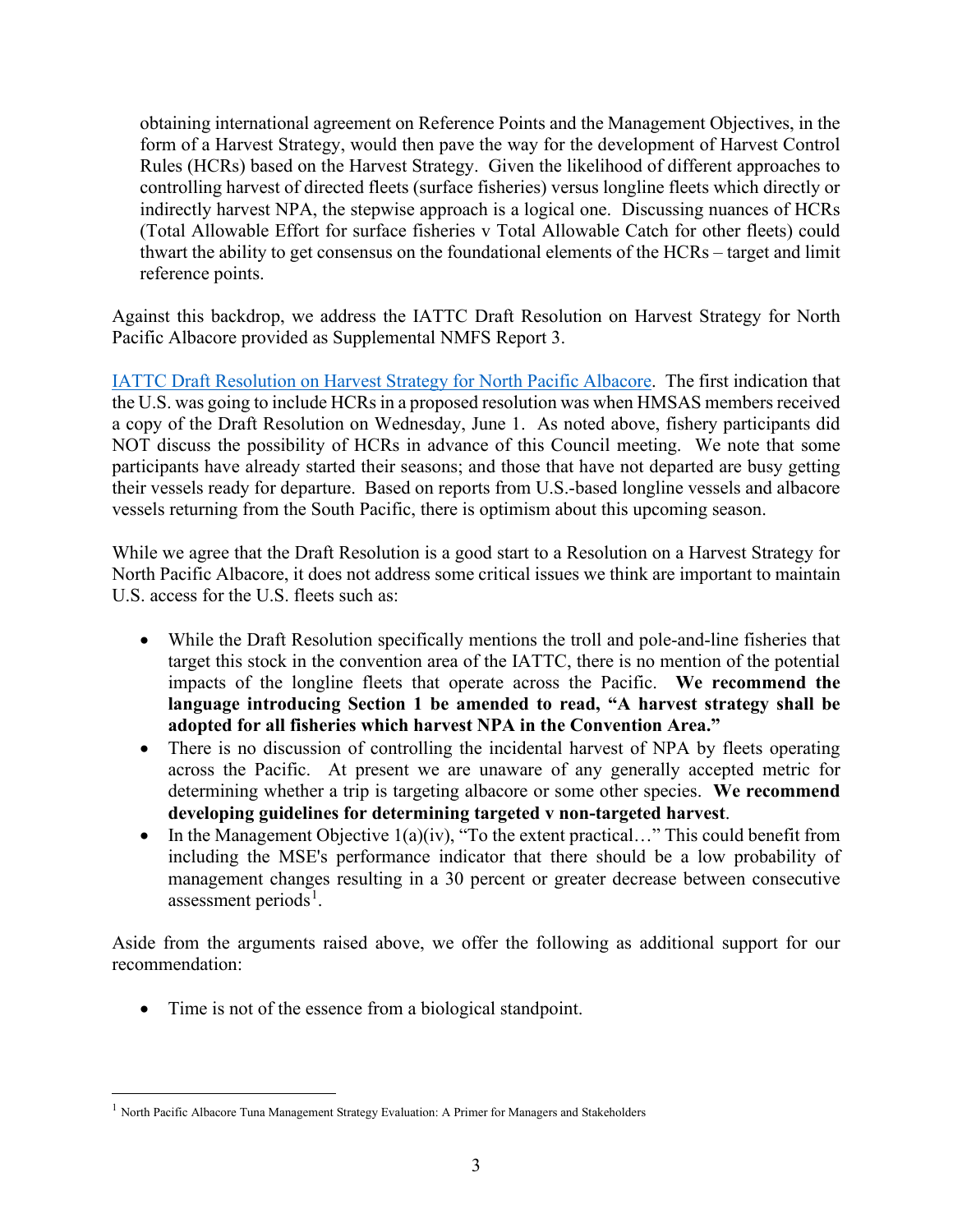obtaining international agreement on Reference Points and the Management Objectives, in the form of a Harvest Strategy, would then pave the way for the development of Harvest Control Rules (HCRs) based on the Harvest Strategy. Given the likelihood of different approaches to controlling harvest of directed fleets (surface fisheries) versus longline fleets which directly or indirectly harvest NPA, the stepwise approach is a logical one. Discussing nuances of HCRs (Total Allowable Effort for surface fisheries v Total Allowable Catch for other fleets) could thwart the ability to get consensus on the foundational elements of the HCRs – target and limit reference points.

Against this backdrop, we address the IATTC Draft Resolution on Harvest Strategy for North Pacific Albacore provided as Supplemental NMFS Report 3.

[IATTC Draft Resolution on Harvest Strategy for North Pacific Albacore.](https://www.pcouncil.org/documents/2022/06/g-2-a-supplemental-nmfs-report-3-iattc-draft-resolution-on-harvest-strategy-for-north-pacific-albacore.pdf/) The first indication that the U.S. was going to include HCRs in a proposed resolution was when HMSAS members received a copy of the Draft Resolution on Wednesday, June 1. As noted above, fishery participants did NOT discuss the possibility of HCRs in advance of this Council meeting. We note that some participants have already started their seasons; and those that have not departed are busy getting their vessels ready for departure. Based on reports from U.S.-based longline vessels and albacore vessels returning from the South Pacific, there is optimism about this upcoming season.

While we agree that the Draft Resolution is a good start to a Resolution on a Harvest Strategy for North Pacific Albacore, it does not address some critical issues we think are important to maintain U.S. access for the U.S. fleets such as:

- While the Draft Resolution specifically mentions the troll and pole-and-line fisheries that target this stock in the convention area of the IATTC, there is no mention of the potential impacts of the longline fleets that operate across the Pacific. **We recommend the language introducing Section 1 be amended to read, "A harvest strategy shall be adopted for all fisheries which harvest NPA in the Convention Area."**
- There is no discussion of controlling the incidental harvest of NPA by fleets operating across the Pacific. At present we are unaware of any generally accepted metric for determining whether a trip is targeting albacore or some other species. **We recommend developing guidelines for determining targeted v non-targeted harvest**.
- In the Management Objective  $1(a)(iv)$ , "To the extent practical..." This could benefit from including the MSE's performance indicator that there should be a low probability of management changes resulting in a 30 percent or greater decrease between consecutive assessment periods<sup>[1](#page-2-0)</sup>.

Aside from the arguments raised above, we offer the following as additional support for our recommendation:

• Time is not of the essence from a biological standpoint.

<span id="page-2-0"></span><sup>&</sup>lt;sup>1</sup> North Pacific Albacore Tuna Management Strategy Evaluation: A Primer for Managers and Stakeholders